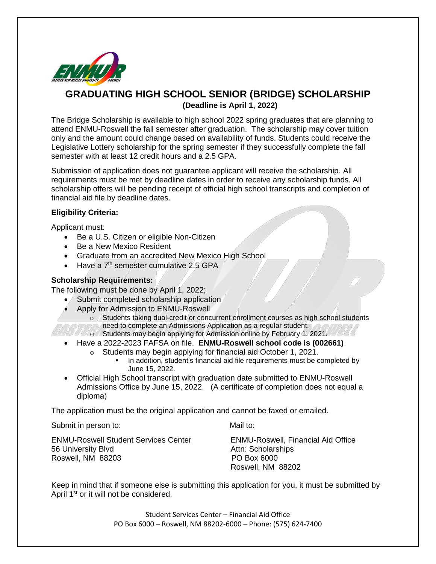

## **GRADUATING HIGH SCHOOL SENIOR (BRIDGE) SCHOLARSHIP (Deadline is April 1, 2022)**

The Bridge Scholarship is available to high school 2022 spring graduates that are planning to attend ENMU-Roswell the fall semester after graduation. The scholarship may cover tuition only and the amount could change based on availability of funds. Students could receive the Legislative Lottery scholarship for the spring semester if they successfully complete the fall semester with at least 12 credit hours and a 2.5 GPA.

Submission of application does not guarantee applicant will receive the scholarship. All requirements must be met by deadline dates in order to receive any scholarship funds. All scholarship offers will be pending receipt of official high school transcripts and completion of financial aid file by deadline dates.

## **Eligibility Criteria:**

Applicant must:

- Be a U.S. Citizen or eligible Non-Citizen
- Be a New Mexico Resident
- Graduate from an accredited New Mexico High School
- Have a  $7<sup>th</sup>$  semester cumulative 2.5 GPA

## **Scholarship Requirements:**

The following must be done by April 1, 2022;

- Submit completed scholarship application
- Apply for Admission to ENMU-Roswell
	- o Students taking dual-credit or concurrent enrollment courses as high school students need to complete an Admissions Application as a regular student.
- o Students may begin applying for Admission online by February 1, 2021.
	- Have a 2022-2023 FAFSA on file. **ENMU-Roswell school code is (002661)**
		- o Students may begin applying for financial aid October 1, 2021.
			- In addition, student's financial aid file requirements must be completed by June 15, 2022.
	- Official High School transcript with graduation date submitted to ENMU-Roswell Admissions Office by June 15, 2022. (A certificate of completion does not equal a diploma)

The application must be the original application and cannot be faxed or emailed.

Submit in person to: Mail to: Mail to:

ENMU-Roswell Student Services Center ENMU-Roswell, Financial Aid Office 56 University Blvd Attn: Scholarships Roswell, NM 88203 PO Box 6000

Roswell, NM 88202

Keep in mind that if someone else is submitting this application for you, it must be submitted by April 1<sup>st</sup> or it will not be considered.

> Student Services Center – Financial Aid Office PO Box 6000 – Roswell, NM 88202-6000 – Phone: (575) 624-7400